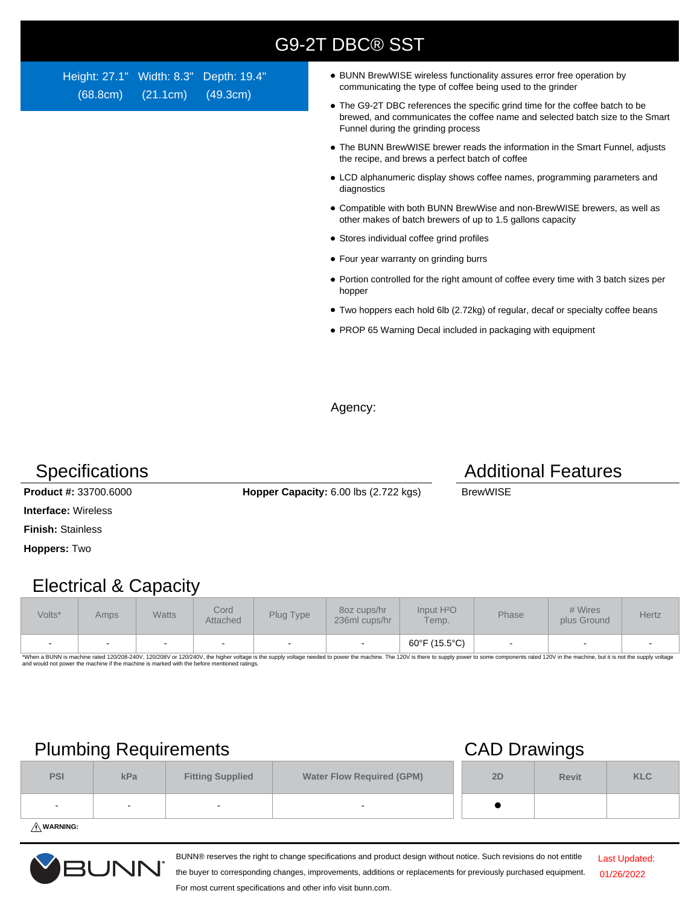| <b>G9-2T DBC® SST</b> |  |  |
|-----------------------|--|--|
|                       |  |  |
|                       |  |  |

Height: 27.1" Width: 8.3" Depth: 19.4" (68.8cm) (21.1cm) (49.3cm)

- BUNN BrewWISE wireless functionality assures error free operation by communicating the type of coffee being used to the grinder
- The G9-2T DBC references the specific grind time for the coffee batch to be brewed, and communicates the coffee name and selected batch size to the Smart Funnel during the grinding process
- The BUNN BrewWISE brewer reads the information in the Smart Funnel, adjusts the recipe, and brews a perfect batch of coffee
- LCD alphanumeric display shows coffee names, programming parameters and diagnostics
- Compatible with both BUNN BrewWise and non-BrewWISE brewers, as well as other makes of batch brewers of up to 1.5 gallons capacity
- Stores individual coffee grind profiles
- Four year warranty on grinding burrs
- Portion controlled for the right amount of coffee every time with 3 batch sizes per hopper
- Two hoppers each hold 6lb (2.72kg) of regular, decaf or specialty coffee beans
- PROP 65 Warning Decal included in packaging with equipment

Agency:

**Product #: 33700.6000 <b>Hopper Capacity:** 6.00 lbs (2.722 kgs) BrewWISE

**Interface:** Wireless

**Hoppers:** Two

### Electrical & Capacity

| Volts* | Amps | <b>Watts</b> | Cord<br>Attached | Plug Type                | 80z cups/hr<br>236ml cups/hr | Input H <sup>2</sup> O<br>Temp. | Phase | # Wires<br>plus Ground | Hertz |
|--------|------|--------------|------------------|--------------------------|------------------------------|---------------------------------|-------|------------------------|-------|
|        |      |              |                  | $\overline{\phantom{0}}$ |                              | 60°F (15.5°C)                   |       |                        |       |

\*When a BUNN is machine rated 120/208-240V, 120/208V or 120/240V, the higher voltage is the supply voltage needed to power the machine. The 120V is there to supply power to some components rated 120V in the machine, but it

## Plumbing Requirements CAD Drawings

|            | $\sim$ |                          | -                                |    |              |            |
|------------|--------|--------------------------|----------------------------------|----|--------------|------------|
| <b>PSI</b> | kPa    | <b>Fitting Supplied</b>  | <b>Water Flow Required (GPM)</b> | 2D | <b>Revit</b> | <b>KLC</b> |
| $\sim$     | -      | $\overline{\phantom{0}}$ | $\overline{a}$                   |    |              |            |
|            |        |                          |                                  |    |              |            |

**WARNING:**



BUNN® reserves the right to change specifications and product design without notice. Such revisions do not entitle

Last Updated: 01/26/2022

the buyer to corresponding changes, improvements, additions or replacements for previously purchased equipment. For most current specifications and other info visit bunn.com.

### **Specifications Additional Features**

**Finish:** Stainless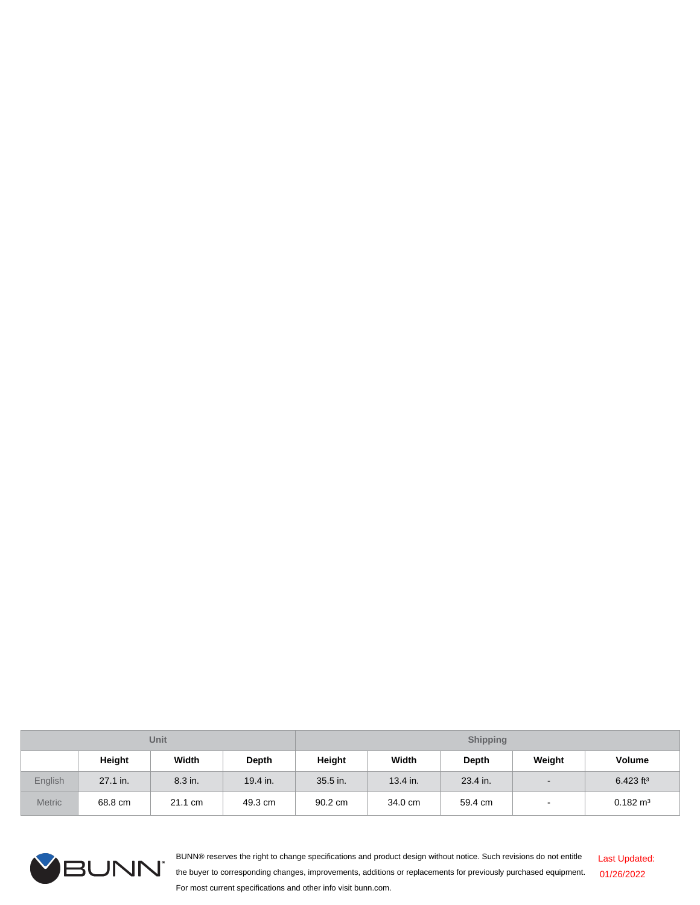| <b>Unit</b>   |          |         |          | <b>Shipping</b> |          |          |                          |                         |
|---------------|----------|---------|----------|-----------------|----------|----------|--------------------------|-------------------------|
|               | Height   | Width   | Depth    | <b>Height</b>   | Width    | Depth    | Weight                   | <b>Volume</b>           |
| English       | 27.1 in. | 8.3 in. | 19.4 in. | 35.5 in.        | 13.4 in. | 23.4 in. | $\overline{\phantom{a}}$ | $6.423$ ft <sup>3</sup> |
| <b>Metric</b> | 68.8 cm  | 21.1 cm | 49.3 cm  | 90.2 cm         | 34.0 cm  | 59.4 cm  | $\overline{\phantom{a}}$ | $0.182 \text{ m}^3$     |



BUNN® reserves the right to change specifications and product design without notice. Such revisions do not entitle the buyer to corresponding changes, improvements, additions or replacements for previously purchased equipment. For most current specifications and other info visit bunn.com. Last Updated: 01/26/2022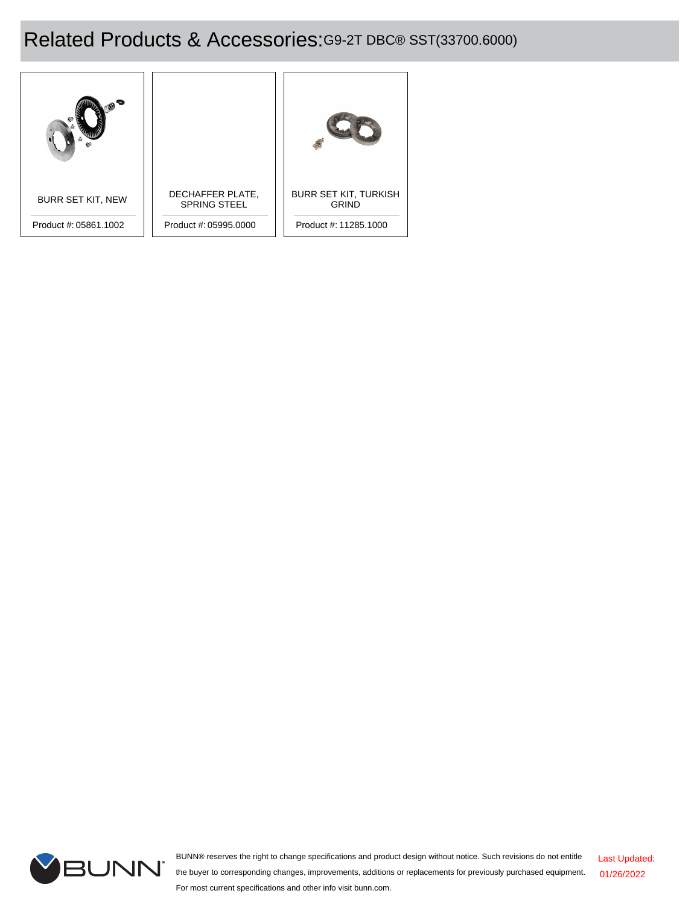# Related Products & Accessories:G9-2T DBC® SST(33700.6000)